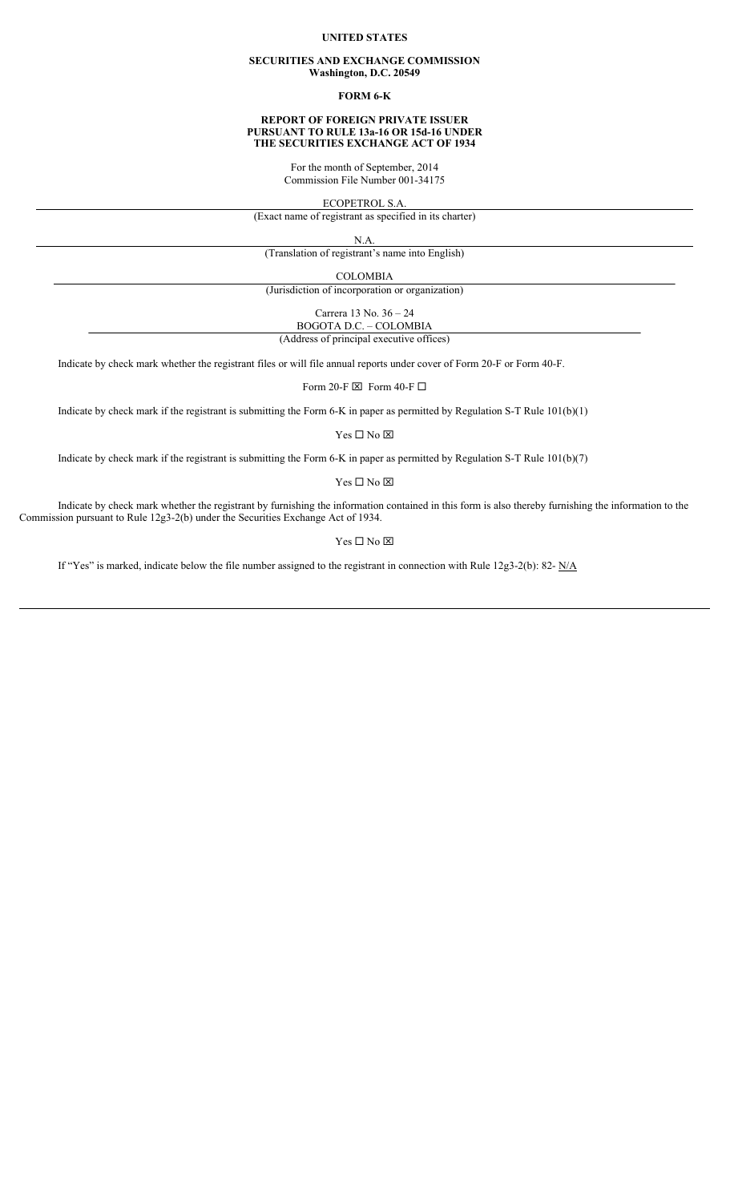## **UNITED STATES**

#### **SECURITIES AND EXCHANGE COMMISSION Washington, D.C. 20549**

## **FORM 6-K**

#### **REPORT OF FOREIGN PRIVATE ISSUER PURSUANT TO RULE 13a-16 OR 15d-16 UNDER THE SECURITIES EXCHANGE ACT OF 1934**

For the month of September, 2014 Commission File Number 001-34175

ECOPETROL S.A.

(Exact name of registrant as specified in its charter)

N.A.

(Translation of registrant's name into English)

COLOMBIA

(Jurisdiction of incorporation or organization)

Carrera 13 No. 36 – 24 BOGOTA D.C. – COLOMBIA

(Address of principal executive offices)

Indicate by check mark whether the registrant files or will file annual reports under cover of Form 20-F or Form 40-F.

Form 20-F  $\boxtimes$  Form 40-F  $\Box$ 

Indicate by check mark if the registrant is submitting the Form 6-K in paper as permitted by Regulation S-T Rule 101(b)(1)

 $Yes \Box No \boxtimes$ 

Indicate by check mark if the registrant is submitting the Form 6-K in paper as permitted by Regulation S-T Rule 101(b)(7)

 $Yes \Box No \boxtimes$ 

Indicate by check mark whether the registrant by furnishing the information contained in this form is also thereby furnishing the information to the Commission pursuant to Rule 12g3-2(b) under the Securities Exchange Act of 1934.

 $Yes \Box No \boxtimes$ 

If "Yes" is marked, indicate below the file number assigned to the registrant in connection with Rule 12g3-2(b): 82- N/A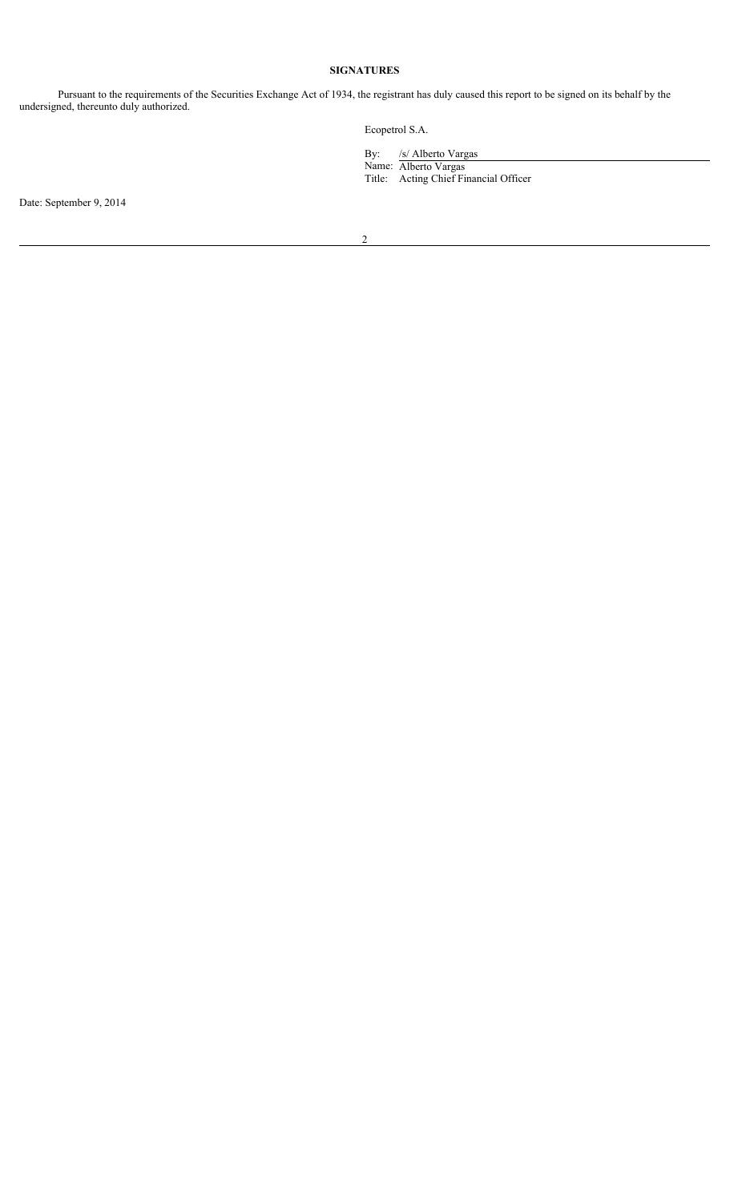# **SIGNATURES**

Pursuant to the requirements of the Securities Exchange Act of 1934, the registrant has duly caused this report to be signed on its behalf by the undersigned, thereunto duly authorized.

Ecopetrol S.A.

By: /s/ Alberto Vargas

Name: Alberto Vargas Title: Acting Chief Financial Officer

Date: September 9, 2014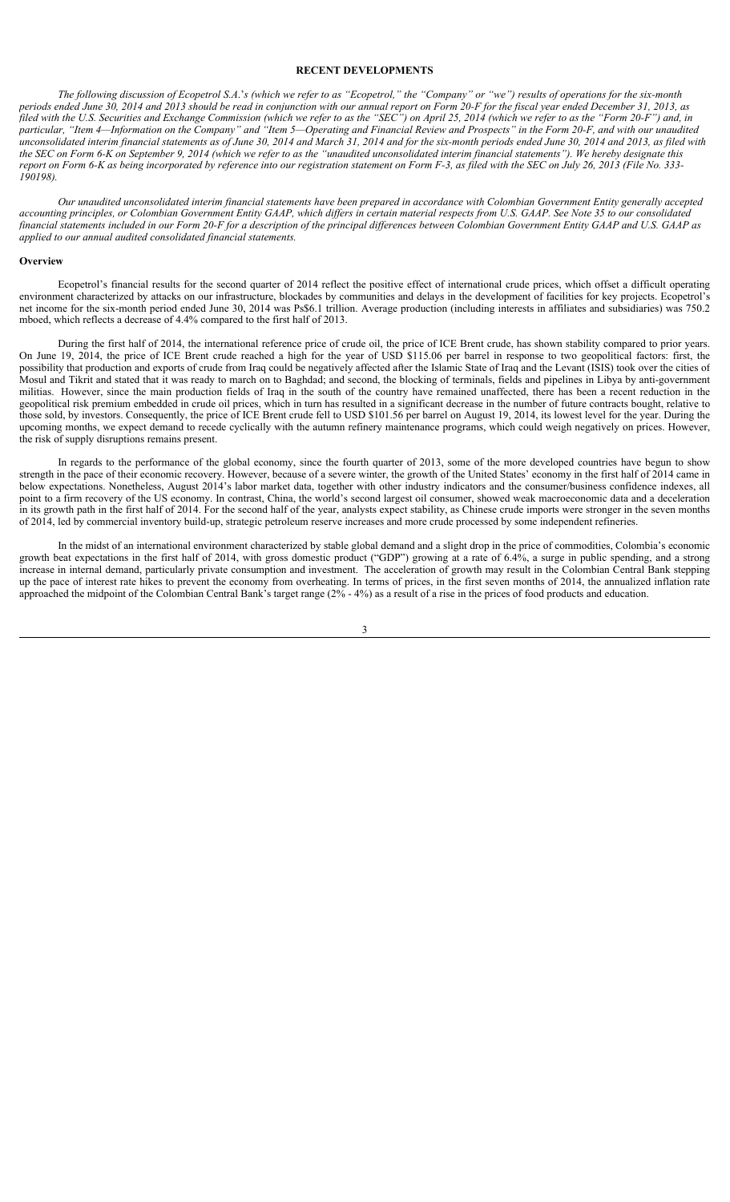## **RECENT DEVELOPMENTS**

*The following discussion of Ecopetrol S.A*.'*s (which we refer to as "Ecopetrol," the "Company" or "we") results of operations for the six-month periods ended June 30, 2014 and 2013 should be read in conjunction with our annual report on Form 20-F for the fiscal year ended December 31, 2013, as filed with the U.S. Securities and Exchange Commission (which we refer to as the "SEC") on April 25, 2014 (which we refer to as the "Form 20-F") and, in particular, "Item 4—Information on the Company" and "Item 5—Operating and Financial Review and Prospects" in the Form 20-F, and with our unaudited unconsolidated interim financial statements as of June 30, 2014 and March 31, 2014 and for the six-month periods ended June 30, 2014 and 2013, as filed with the SEC on Form 6-K on September 9, 2014 (which we refer to as the "unaudited unconsolidated interim financial statements"). We hereby designate this report on Form 6-K as being incorporated by reference into our registration statement on Form F-3, as filed with the SEC on July 26, 2013 (File No. 333-190198).*

*Our unaudited unconsolidated interim financial statements have been prepared in accordance with Colombian Government Entity generally accepted accounting principles, or Colombian Government Entity GAAP, which differs in certain material respects from U.S. GAAP. See Note 35 to our consolidated financial statements included in our Form 20-F for a description of the principal differences between Colombian Government Entity GAAP and U.S. GAAP as applied to our annual audited consolidated financial statements.* 

### **Overview**

Ecopetrol's financial results for the second quarter of 2014 reflect the positive effect of international crude prices, which offset a difficult operating environment characterized by attacks on our infrastructure, blockades by communities and delays in the development of facilities for key projects. Ecopetrol's net income for the six-month period ended June 30, 2014 was Ps\$6.1 trillion. Average production (including interests in affiliates and subsidiaries) was 750.2 mboed, which reflects a decrease of 4.4% compared to the first half of 2013.

During the first half of 2014, the international reference price of crude oil, the price of ICE Brent crude, has shown stability compared to prior years. On June 19, 2014, the price of ICE Brent crude reached a high for the year of USD \$115.06 per barrel in response to two geopolitical factors: first, the possibility that production and exports of crude from Iraq could be negatively affected after the Islamic State of Iraq and the Levant (ISIS) took over the cities of Mosul and Tikrit and stated that it was ready to march on to Baghdad; and second, the blocking of terminals, fields and pipelines in Libya by anti-government militias. However, since the main production fields of Iraq in the south of the country have remained unaffected, there has been a recent reduction in the geopolitical risk premium embedded in crude oil prices, which in turn has resulted in a significant decrease in the number of future contracts bought, relative to those sold, by investors. Consequently, the price of ICE Brent crude fell to USD \$101.56 per barrel on August 19, 2014, its lowest level for the year. During the upcoming months, we expect demand to recede cyclically with the autumn refinery maintenance programs, which could weigh negatively on prices. However, the risk of supply disruptions remains present.

In regards to the performance of the global economy, since the fourth quarter of 2013, some of the more developed countries have begun to show strength in the pace of their economic recovery. However, because of a severe winter, the growth of the United States' economy in the first half of 2014 came in below expectations. Nonetheless, August 2014's labor market data, together with other industry indicators and the consumer/business confidence indexes, all point to a firm recovery of the US economy. In contrast, China, the world's second largest oil consumer, showed weak macroeconomic data and a deceleration in its growth path in the first half of 2014. For the second half of the year, analysts expect stability, as Chinese crude imports were stronger in the seven months of 2014, led by commercial inventory build-up, strategic petroleum reserve increases and more crude processed by some independent refineries.

In the midst of an international environment characterized by stable global demand and a slight drop in the price of commodities, Colombia's economic growth beat expectations in the first half of 2014, with gross domestic product ("GDP") growing at a rate of 6.4%, a surge in public spending, and a strong increase in internal demand, particularly private consumption and investment. The acceleration of growth may result in the Colombian Central Bank stepping up the pace of interest rate hikes to prevent the economy from overheating. In terms of prices, in the first seven months of 2014, the annualized inflation rate approached the midpoint of the Colombian Central Bank's target range  $(2\% - 4\%)$  as a result of a rise in the prices of food products and education.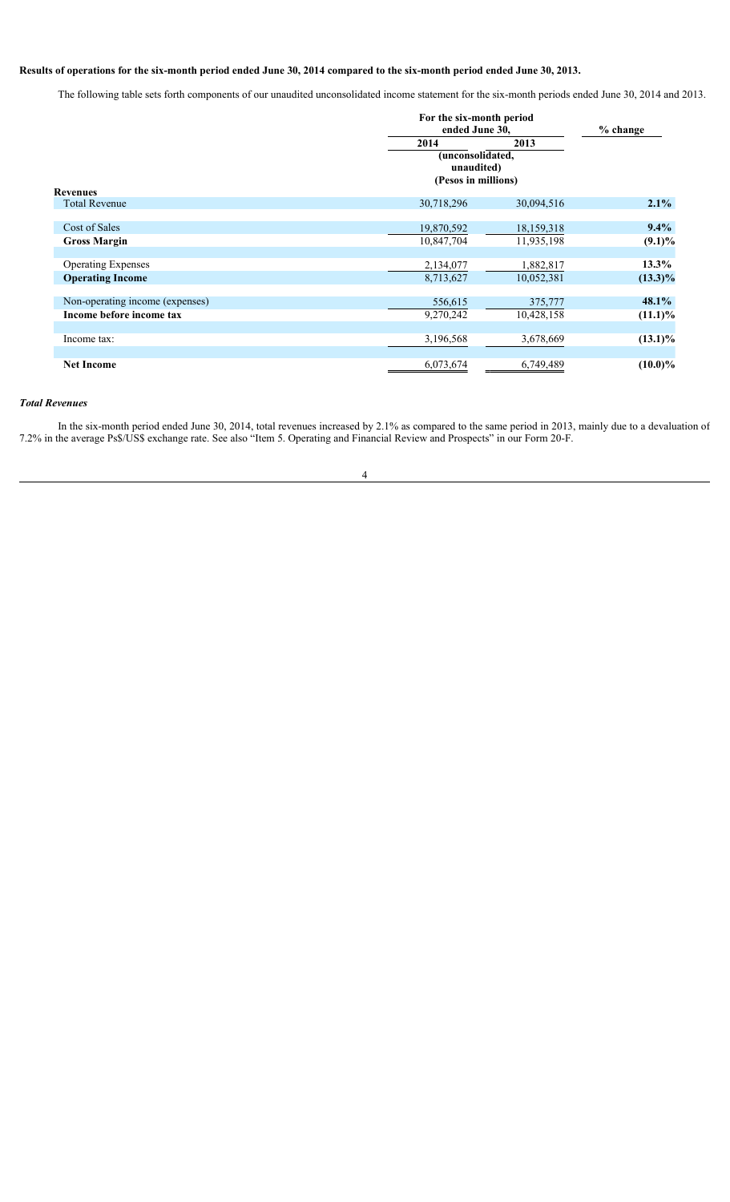# **Results of operations for the six-month period ended June 30, 2014 compared to the six-month period ended June 30, 2013.**

The following table sets forth components of our unaudited unconsolidated income statement for the six-month periods ended June 30, 2014 and 2013.

|                                 |                                                       | For the six-month period<br>ended June 30, |            |
|---------------------------------|-------------------------------------------------------|--------------------------------------------|------------|
|                                 | 2014                                                  | 2013                                       |            |
|                                 | (unconsolidated,<br>unaudited)<br>(Pesos in millions) |                                            |            |
| <b>Revenues</b>                 |                                                       |                                            |            |
| <b>Total Revenue</b>            | 30,718,296                                            | 30,094,516                                 | $2.1\%$    |
|                                 |                                                       |                                            |            |
| Cost of Sales                   | 19,870,592                                            | 18,159,318                                 | $9.4\%$    |
| <b>Gross Margin</b>             | 10,847,704                                            | 11,935,198                                 | $(9.1)\%$  |
|                                 |                                                       |                                            |            |
| <b>Operating Expenses</b>       | 2,134,077                                             | 1,882,817                                  | $13.3\%$   |
| <b>Operating Income</b>         | 8,713,627                                             | 10,052,381                                 | $(13.3)\%$ |
|                                 |                                                       |                                            |            |
| Non-operating income (expenses) | 556,615                                               | 375,777                                    | 48.1%      |
| Income before income tax        | 9,270,242                                             | 10,428,158                                 | $(11.1)\%$ |
|                                 |                                                       |                                            |            |
| Income tax:                     | 3,196,568                                             | 3,678,669                                  | $(13.1)\%$ |
|                                 |                                                       |                                            |            |
| <b>Net Income</b>               | 6,073,674                                             | 6,749,489                                  | $(10.0)\%$ |

# *Total Revenues*

In the six-month period ended June 30, 2014, total revenues increased by 2.1% as compared to the same period in 2013, mainly due to a devaluation of 7.2% in the average Ps\$/US\$ exchange rate. See also "Item 5. Operating and Financial Review and Prospects" in our Form 20-F.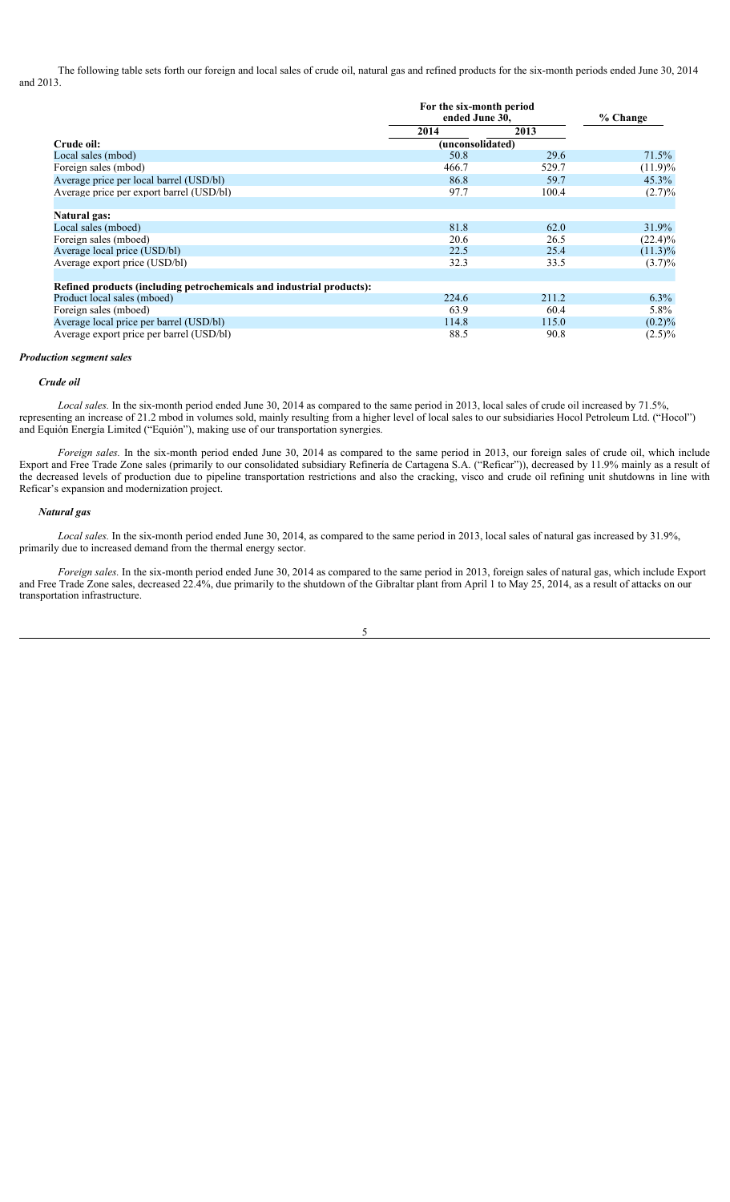The following table sets forth our foreign and local sales of crude oil, natural gas and refined products for the six-month periods ended June 30, 2014 and 2013.

|                                                                      | For the six-month period<br>ended June 30, |       | $%$ Change |
|----------------------------------------------------------------------|--------------------------------------------|-------|------------|
|                                                                      | 2014                                       | 2013  |            |
| Crude oil:                                                           | (unconsolidated)                           |       |            |
| Local sales (mbod)                                                   | 50.8                                       | 29.6  | 71.5%      |
| Foreign sales (mbod)                                                 | 466.7                                      | 529.7 | $(11.9)\%$ |
| Average price per local barrel (USD/bl)                              | 86.8                                       | 59.7  | $45.3\%$   |
| Average price per export barrel (USD/bl)                             | 97.7                                       | 100.4 | (2.7)%     |
| Natural gas:                                                         |                                            |       |            |
| Local sales (mboed)                                                  | 81.8                                       | 62.0  | 31.9%      |
| Foreign sales (mboed)                                                | 20.6                                       | 26.5  | $(22.4)\%$ |
| Average local price (USD/bl)                                         | 22.5                                       | 25.4  | $(11.3)\%$ |
| Average export price (USD/bl)                                        | 32.3                                       | 33.5  | $(3.7)\%$  |
| Refined products (including petrochemicals and industrial products): |                                            |       |            |
| Product local sales (mboed)                                          | 224.6                                      | 211.2 | $6.3\%$    |
| Foreign sales (mboed)                                                | 63.9                                       | 60.4  | 5.8%       |
| Average local price per barrel (USD/bl)                              | 114.8                                      | 115.0 | $(0.2)\%$  |
| Average export price per barrel (USD/bl)                             | 88.5                                       | 90.8  | $(2.5)\%$  |

#### *Production segment sales*

#### *Crude oil*

*Local sales.* In the six-month period ended June 30, 2014 as compared to the same period in 2013, local sales of crude oil increased by 71.5%, representing an increase of 21.2 mbod in volumes sold, mainly resulting from a higher level of local sales to our subsidiaries Hocol Petroleum Ltd. ("Hocol") and Equión Energía Limited ("Equión"), making use of our transportation synergies.

*Foreign sales.* In the six-month period ended June 30, 2014 as compared to the same period in 2013, our foreign sales of crude oil, which include Export and Free Trade Zone sales (primarily to our consolidated subsidiary Refinería de Cartagena S.A. ("Reficar")), decreased by 11.9% mainly as a result of the decreased levels of production due to pipeline transportation restrictions and also the cracking, visco and crude oil refining unit shutdowns in line with Reficar's expansion and modernization project.

## *Natural gas*

*Local sales.* In the six-month period ended June 30, 2014, as compared to the same period in 2013, local sales of natural gas increased by 31.9%, primarily due to increased demand from the thermal energy sector.

*Foreign sales.* In the six-month period ended June 30, 2014 as compared to the same period in 2013, foreign sales of natural gas, which include Export and Free Trade Zone sales, decreased 22.4%, due primarily to the shutdown of the Gibraltar plant from April 1 to May 25, 2014, as a result of attacks on our transportation infrastructure.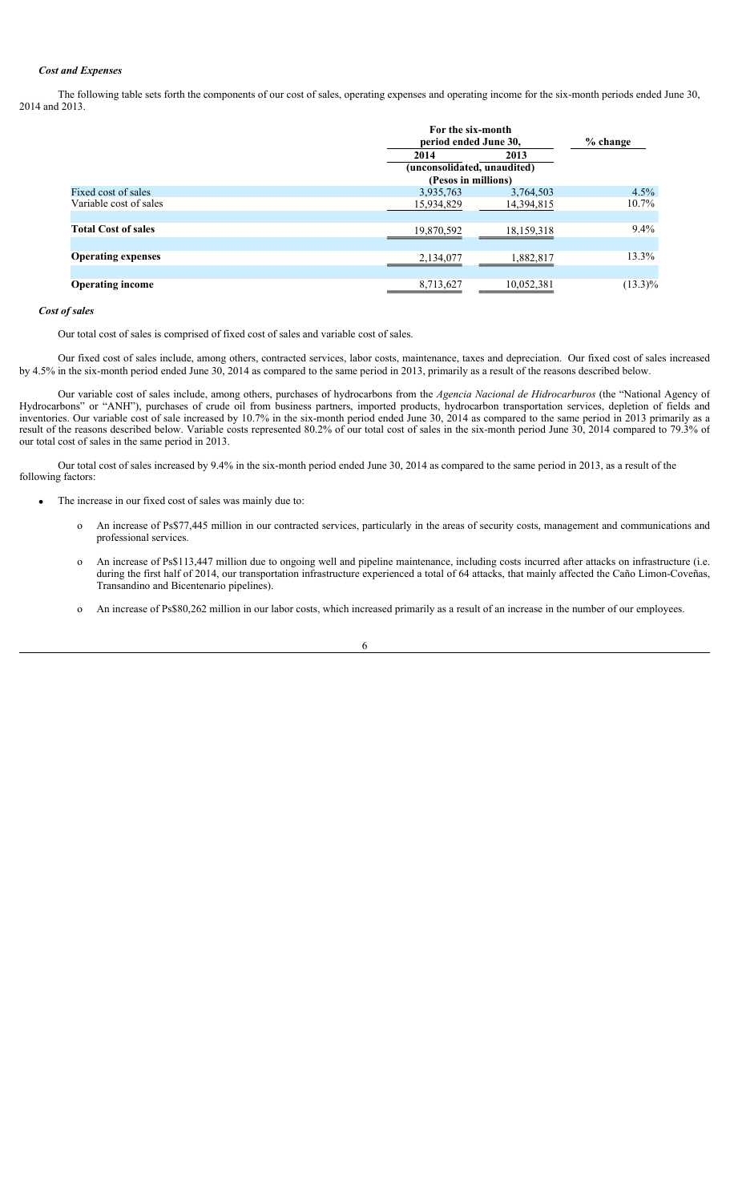## *Cost and Expenses*

The following table sets forth the components of our cost of sales, operating expenses and operating income for the six-month periods ended June 30, 2014 and 2013.

|                            |                     | For the six-month<br>period ended June 30, |            |
|----------------------------|---------------------|--------------------------------------------|------------|
|                            | 2014                | 2013                                       |            |
|                            |                     | (unconsolidated, unaudited)                |            |
|                            | (Pesos in millions) |                                            |            |
| Fixed cost of sales        | 3,935,763           | 3,764,503                                  | 4.5%       |
| Variable cost of sales     | 15,934,829          | 14,394,815                                 | $10.7\%$   |
|                            |                     |                                            |            |
| <b>Total Cost of sales</b> | 19,870,592          | 18, 159, 318                               | $9.4\%$    |
|                            |                     |                                            |            |
| <b>Operating expenses</b>  | 2,134,077           | 1,882,817                                  | 13.3%      |
|                            |                     |                                            |            |
| <b>Operating income</b>    | 8,713,627           | 10,052,381                                 | $(13.3)\%$ |
|                            |                     |                                            |            |

## *Cost of sales*

Our total cost of sales is comprised of fixed cost of sales and variable cost of sales.

Our fixed cost of sales include, among others, contracted services, labor costs, maintenance, taxes and depreciation. Our fixed cost of sales increased by 4.5% in the six-month period ended June 30, 2014 as compared to the same period in 2013, primarily as a result of the reasons described below.

Our variable cost of sales include, among others, purchases of hydrocarbons from the *Agencia Nacional de Hidrocarburos* (the "National Agency of Hydrocarbons" or "ANH"), purchases of crude oil from business partners, imported products, hydrocarbon transportation services, depletion of fields and inventories. Our variable cost of sale increased by 10.7% in the six-month period ended June 30, 2014 as compared to the same period in 2013 primarily as a result of the reasons described below. Variable costs represented 80.2% of our total cost of sales in the six-month period June 30, 2014 compared to 79.3% of our total cost of sales in the same period in 2013.

Our total cost of sales increased by 9.4% in the six-month period ended June 30, 2014 as compared to the same period in 2013, as a result of the following factors:

- The increase in our fixed cost of sales was mainly due to:
	- o An increase of Ps\$77,445 million in our contracted services, particularly in the areas of security costs, management and communications and professional services.
	- o An increase of Ps\$113,447 million due to ongoing well and pipeline maintenance, including costs incurred after attacks on infrastructure (i.e. during the first half of 2014, our transportation infrastructure experienced a total of 64 attacks, that mainly affected the Caño Limon-Coveñas, Transandino and Bicentenario pipelines).
	- o An increase of Ps\$80,262 million in our labor costs, which increased primarily as a result of an increase in the number of our employees.

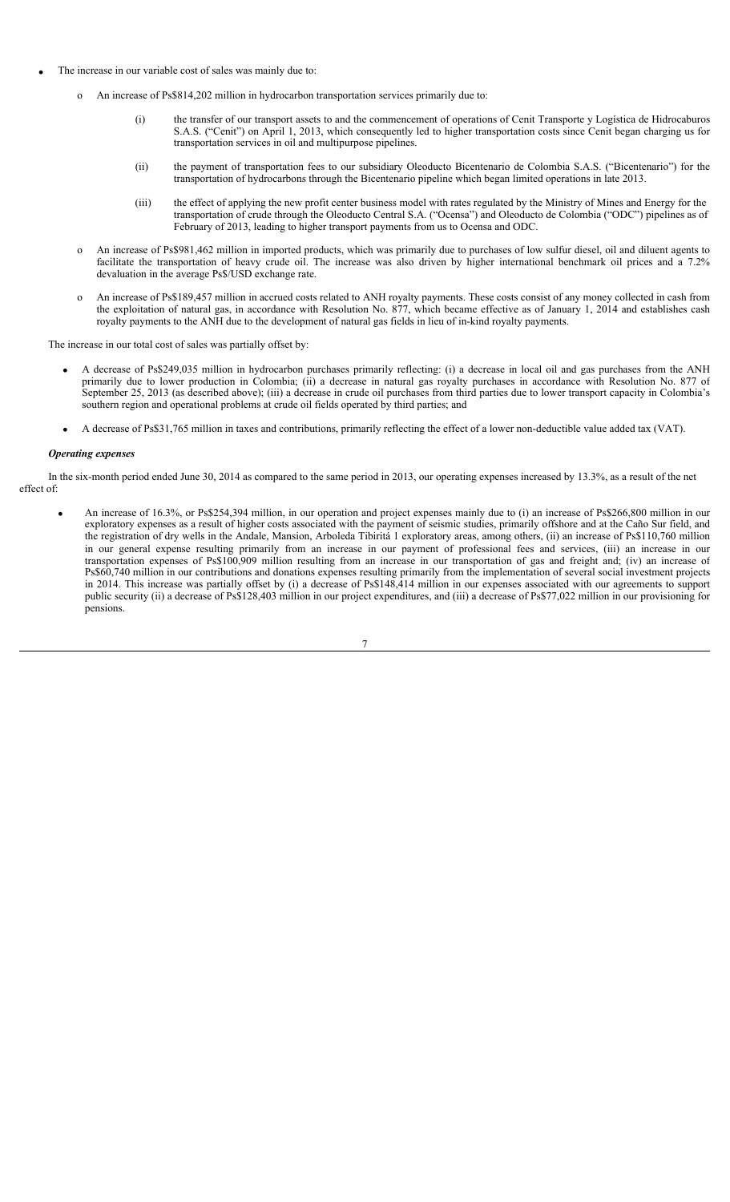- The increase in our variable cost of sales was mainly due to:
	- An increase of Ps\$814,202 million in hydrocarbon transportation services primarily due to:
		- (i) the transfer of our transport assets to and the commencement of operations of Cenit Transporte y Logística de Hidrocaburos S.A.S. ("Cenit") on April 1, 2013, which consequently led to higher transportation costs since Cenit began charging us for transportation services in oil and multipurpose pipelines.
		- (ii) the payment of transportation fees to our subsidiary Oleoducto Bicentenario de Colombia S.A.S. ("Bicentenario") for the transportation of hydrocarbons through the Bicentenario pipeline which began limited operations in late 2013.
		- (iii) the effect of applying the new profit center business model with rates regulated by the Ministry of Mines and Energy for the transportation of crude through the Oleoducto Central S.A. ("Ocensa") and Oleoducto de Colombia ("ODC") pipelines as of February of 2013, leading to higher transport payments from us to Ocensa and ODC.
	- o An increase of Ps\$981,462 million in imported products, which was primarily due to purchases of low sulfur diesel, oil and diluent agents to facilitate the transportation of heavy crude oil. The increase was also driven by higher international benchmark oil prices and a 7.2% devaluation in the average Ps\$/USD exchange rate.
	- o An increase of Ps\$189,457 million in accrued costs related to ANH royalty payments. These costs consist of any money collected in cash from the exploitation of natural gas, in accordance with Resolution No. 877, which became effective as of January 1, 2014 and establishes cash royalty payments to the ANH due to the development of natural gas fields in lieu of in-kind royalty payments.

The increase in our total cost of sales was partially offset by:

- x A decrease of Ps\$249,035 million in hydrocarbon purchases primarily reflecting: (i) a decrease in local oil and gas purchases from the ANH primarily due to lower production in Colombia; (ii) a decrease in natural gas royalty purchases in accordance with Resolution No. 877 of September 25, 2013 (as described above); (iii) a decrease in crude oil purchases from third parties due to lower transport capacity in Colombia's southern region and operational problems at crude oil fields operated by third parties; and
- x A decrease of Ps\$31,765 million in taxes and contributions, primarily reflecting the effect of a lower non-deductible value added tax (VAT).

### *Operating expenses*

In the six-month period ended June 30, 2014 as compared to the same period in 2013, our operating expenses increased by 13.3%, as a result of the net effect of:

7

x An increase of 16.3%, or Ps\$254,394 million, in our operation and project expenses mainly due to (i) an increase of Ps\$266,800 million in our exploratory expenses as a result of higher costs associated with the payment of seismic studies, primarily offshore and at the Caño Sur field, and the registration of dry wells in the Andale, Mansion, Arboleda Tibiritá 1 exploratory areas, among others, (ii) an increase of Ps\$110,760 million in our general expense resulting primarily from an increase in our payment of professional fees and services, (iii) an increase in our transportation expenses of Ps\$100,909 million resulting from an increase in our transportation of gas and freight and; (iv) an increase of Ps\$60,740 million in our contributions and donations expenses resulting primarily from the implementation of several social investment projects in 2014. This increase was partially offset by (i) a decrease of Ps\$148,414 million in our expenses associated with our agreements to support public security (ii) a decrease of Ps\$128,403 million in our project expenditures, and (iii) a decrease of Ps\$77,022 million in our provisioning for pensions.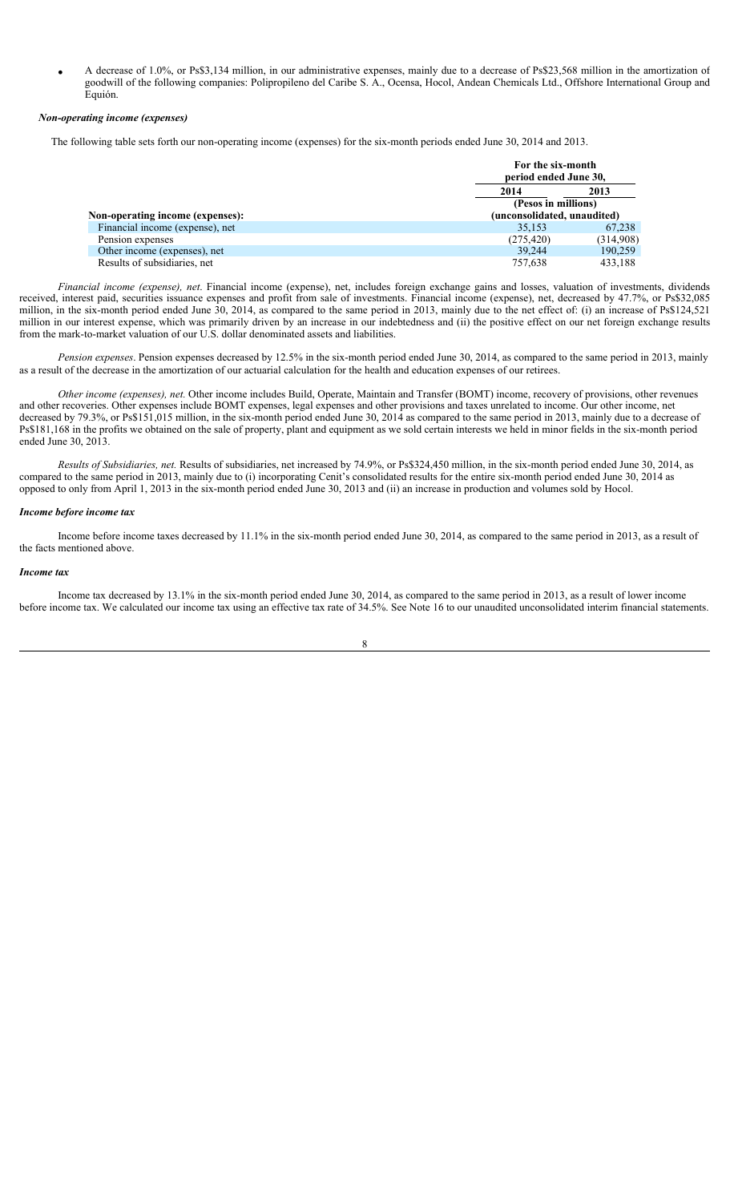x A decrease of 1.0%, or Ps\$3,134 million, in our administrative expenses, mainly due to a decrease of Ps\$23,568 million in the amortization of goodwill of the following companies: Polipropileno del Caribe S. A., Ocensa, Hocol, Andean Chemicals Ltd., Offshore International Group and Equión.

### *Non-operating income (expenses)*

The following table sets forth our non-operating income (expenses) for the six-month periods ended June 30, 2014 and 2013.

|                                  | For the six-month<br>period ended June 30, |           |
|----------------------------------|--------------------------------------------|-----------|
|                                  | 2014                                       | 2013      |
|                                  | (Pesos in millions)                        |           |
| Non-operating income (expenses): | (unconsolidated, unaudited)                |           |
| Financial income (expense), net  | 35,153                                     | 67,238    |
| Pension expenses                 | (275, 420)                                 | (314,908) |
| Other income (expenses), net     | 39.244                                     | 190,259   |
| Results of subsidiaries, net     | 757.638                                    | 433,188   |

*Financial income (expense), net*. Financial income (expense), net, includes foreign exchange gains and losses, valuation of investments, dividends received, interest paid, securities issuance expenses and profit from sale of investments. Financial income (expense), net, decreased by 47.7%, or Ps\$32,085 million, in the six-month period ended June 30, 2014, as compared to the same period in 2013, mainly due to the net effect of: (i) an increase of Ps\$124,521 million in our interest expense, which was primarily driven by an increase in our indebtedness and (ii) the positive effect on our net foreign exchange results from the mark-to-market valuation of our U.S. dollar denominated assets and liabilities.

*Pension expenses*. Pension expenses decreased by 12.5% in the six-month period ended June 30, 2014, as compared to the same period in 2013, mainly as a result of the decrease in the amortization of our actuarial calculation for the health and education expenses of our retirees.

*Other income (expenses), net.* Other income includes Build, Operate, Maintain and Transfer (BOMT) income, recovery of provisions, other revenues and other recoveries. Other expenses include BOMT expenses, legal expenses and other provisions and taxes unrelated to income. Our other income, net decreased by 79.3%, or Ps\$151,015 million, in the six-month period ended June 30, 2014 as compared to the same period in 2013, mainly due to a decrease of Ps\$181,168 in the profits we obtained on the sale of property, plant and equipment as we sold certain interests we held in minor fields in the six-month period ended June 30, 2013.

*Results of Subsidiaries, net.* Results of subsidiaries, net increased by 74.9%, or Ps\$324,450 million, in the six-month period ended June 30, 2014, as compared to the same period in 2013, mainly due to (i) incorporating Cenit's consolidated results for the entire six-month period ended June 30, 2014 as opposed to only from April 1, 2013 in the six-month period ended June 30, 2013 and (ii) an increase in production and volumes sold by Hocol.

#### *Income before income tax*

Income before income taxes decreased by 11.1% in the six-month period ended June 30, 2014, as compared to the same period in 2013, as a result of the facts mentioned above.

### *Income tax*

Income tax decreased by 13.1% in the six-month period ended June 30, 2014, as compared to the same period in 2013, as a result of lower income before income tax. We calculated our income tax using an effective tax rate of 34.5%. See Note 16 to our unaudited unconsolidated interim financial statements.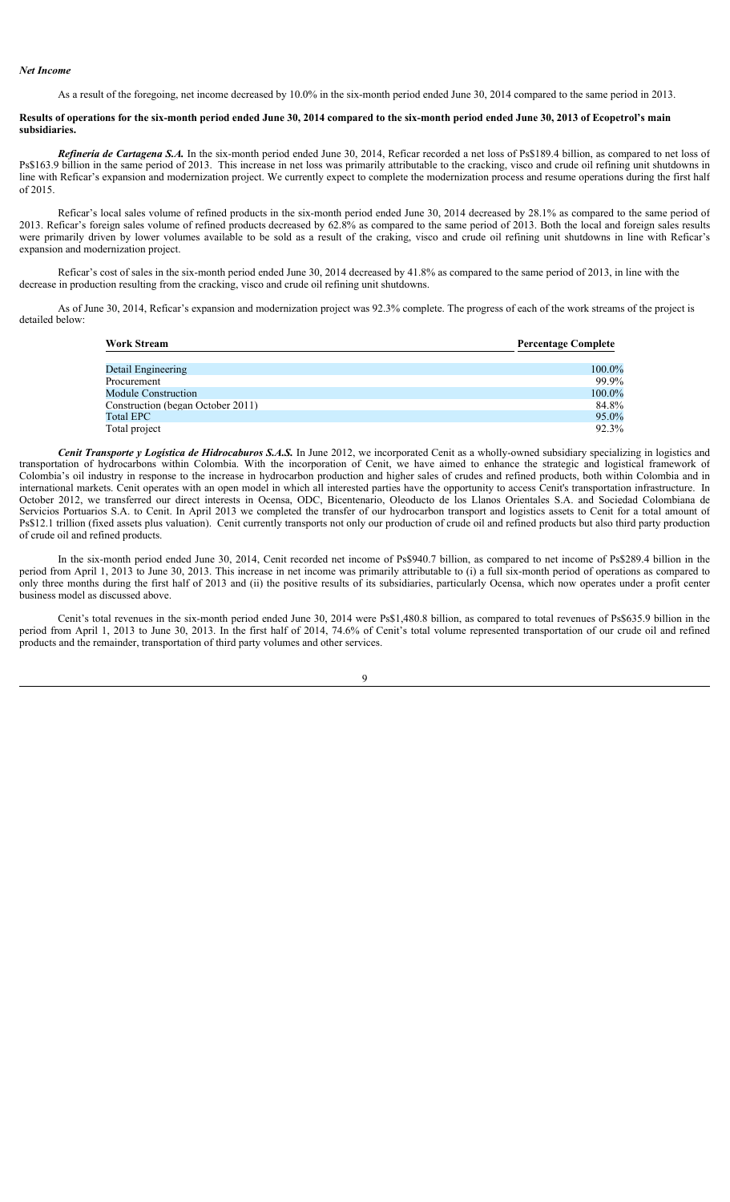## *Net Income*

As a result of the foregoing, net income decreased by 10.0% in the six-month period ended June 30, 2014 compared to the same period in 2013.

## **Results of operations for the six-month period ended June 30, 2014 compared to the six-month period ended June 30, 2013 of Ecopetrol's main subsidiaries.**

*Refinería de Cartagena S.A.* In the six-month period ended June 30, 2014, Reficar recorded a net loss of Ps\$189.4 billion, as compared to net loss of Ps\$163.9 billion in the same period of 2013. This increase in net loss was primarily attributable to the cracking, visco and crude oil refining unit shutdowns in line with Reficar's expansion and modernization project. We currently expect to complete the modernization process and resume operations during the first half of 2015.

Reficar's local sales volume of refined products in the six-month period ended June 30, 2014 decreased by 28.1% as compared to the same period of 2013. Reficar's foreign sales volume of refined products decreased by 62.8% as compared to the same period of 2013. Both the local and foreign sales results were primarily driven by lower volumes available to be sold as a result of the craking, visco and crude oil refining unit shutdowns in line with Reficar's expansion and modernization project.

Reficar's cost of sales in the six-month period ended June 30, 2014 decreased by 41.8% as compared to the same period of 2013, in line with the decrease in production resulting from the cracking, visco and crude oil refining unit shutdowns.

As of June 30, 2014, Reficar's expansion and modernization project was 92.3% complete. The progress of each of the work streams of the project is detailed below:

| <b>Work Stream</b>                | <b>Percentage Complete</b> |
|-----------------------------------|----------------------------|
|                                   |                            |
| Detail Engineering                | 100.0%                     |
| Procurement                       | 99.9%                      |
| Module Construction               | 100.0%                     |
| Construction (began October 2011) | 84.8%                      |
| Total EPC                         | 95.0%                      |
| Total project                     | 92.3%                      |

*Cenit Transporte y Logística de Hidrocaburos S.A.S.* In June 2012, we incorporated Cenit as a wholly-owned subsidiary specializing in logistics and transportation of hydrocarbons within Colombia. With the incorporation of Cenit, we have aimed to enhance the strategic and logistical framework of Colombia's oil industry in response to the increase in hydrocarbon production and higher sales of crudes and refined products, both within Colombia and in international markets. Cenit operates with an open model in which all interested parties have the opportunity to access Cenit's transportation infrastructure. In October 2012, we transferred our direct interests in Ocensa, ODC, Bicentenario, Oleoducto de los Llanos Orientales S.A. and Sociedad Colombiana de Servicios Portuarios S.A. to Cenit. In April 2013 we completed the transfer of our hydrocarbon transport and logistics assets to Cenit for a total amount of Ps\$12.1 trillion (fixed assets plus valuation). Cenit currently transports not only our production of crude oil and refined products but also third party production of crude oil and refined products.

In the six-month period ended June 30, 2014, Cenit recorded net income of Ps\$940.7 billion, as compared to net income of Ps\$289.4 billion in the period from April 1, 2013 to June 30, 2013. This increase in net income was primarily attributable to (i) a full six-month period of operations as compared to only three months during the first half of 2013 and (ii) the positive results of its subsidiaries, particularly Ocensa, which now operates under a profit center business model as discussed above.

Cenit's total revenues in the six-month period ended June 30, 2014 were Ps\$1,480.8 billion, as compared to total revenues of Ps\$635.9 billion in the period from April 1, 2013 to June 30, 2013. In the first half of 2014, 74.6% of Cenit's total volume represented transportation of our crude oil and refined products and the remainder, transportation of third party volumes and other services.

 $\overline{Q}$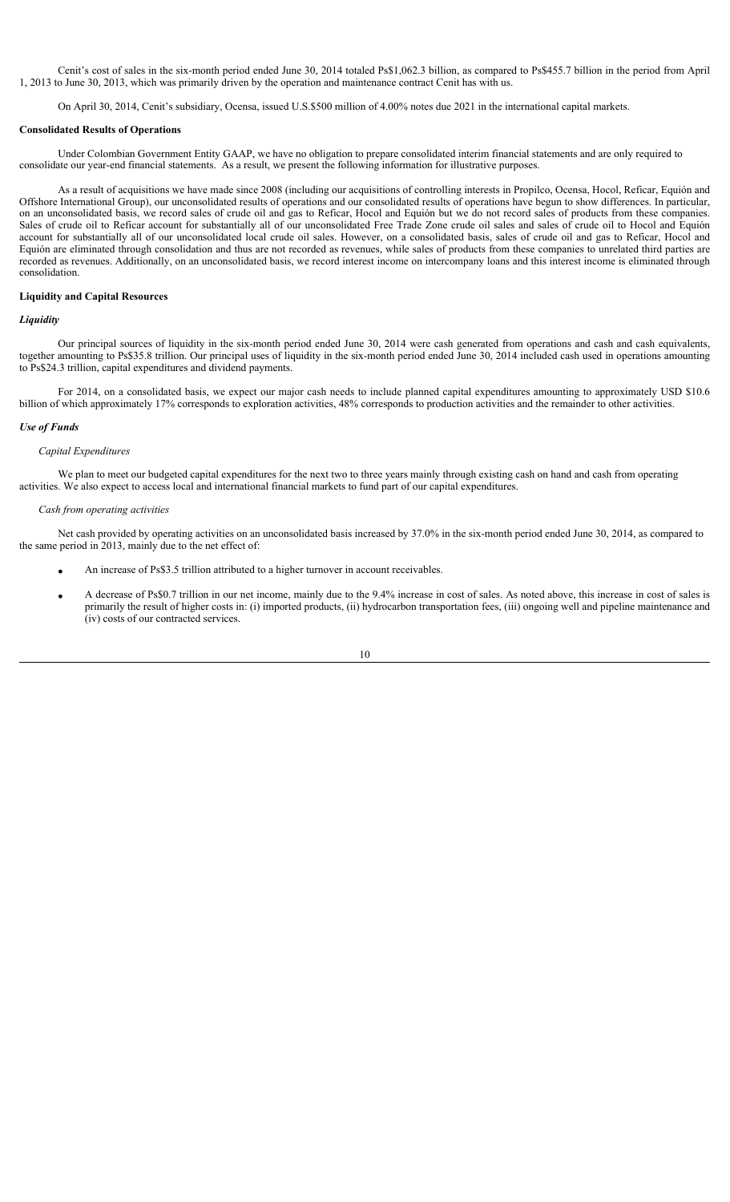Cenit's cost of sales in the six-month period ended June 30, 2014 totaled Ps\$1,062.3 billion, as compared to Ps\$455.7 billion in the period from April 1, 2013 to June 30, 2013, which was primarily driven by the operation and maintenance contract Cenit has with us.

On April 30, 2014, Cenit's subsidiary, Ocensa, issued U.S.\$500 million of 4.00% notes due 2021 in the international capital markets.

#### **Consolidated Results of Operations**

Under Colombian Government Entity GAAP, we have no obligation to prepare consolidated interim financial statements and are only required to consolidate our year-end financial statements. As a result, we present the following information for illustrative purposes.

As a result of acquisitions we have made since 2008 (including our acquisitions of controlling interests in Propilco, Ocensa, Hocol, Reficar, Equión and Offshore International Group), our unconsolidated results of operations and our consolidated results of operations have begun to show differences. In particular, on an unconsolidated basis, we record sales of crude oil and gas to Reficar, Hocol and Equión but we do not record sales of products from these companies. Sales of crude oil to Reficar account for substantially all of our unconsolidated Free Trade Zone crude oil sales and sales of crude oil to Hocol and Equión account for substantially all of our unconsolidated local crude oil sales. However, on a consolidated basis, sales of crude oil and gas to Reficar, Hocol and Equión are eliminated through consolidation and thus are not recorded as revenues, while sales of products from these companies to unrelated third parties are recorded as revenues. Additionally, on an unconsolidated basis, we record interest income on intercompany loans and this interest income is eliminated through consolidation.

# **Liquidity and Capital Resources**

## *Liquidity*

Our principal sources of liquidity in the six-month period ended June 30, 2014 were cash generated from operations and cash and cash equivalents, together amounting to Ps\$35.8 trillion. Our principal uses of liquidity in the six-month period ended June 30, 2014 included cash used in operations amounting to Ps\$24.3 trillion, capital expenditures and dividend payments.

For 2014, on a consolidated basis, we expect our major cash needs to include planned capital expenditures amounting to approximately USD \$10.6 billion of which approximately 17% corresponds to exploration activities, 48% corresponds to production activities and the remainder to other activities.

## *Use of Funds*

#### *Capital Expenditures*

We plan to meet our budgeted capital expenditures for the next two to three years mainly through existing cash on hand and cash from operating activities. We also expect to access local and international financial markets to fund part of our capital expenditures.

#### *Cash from operating activities*

Net cash provided by operating activities on an unconsolidated basis increased by 37.0% in the six-month period ended June 30, 2014, as compared to the same period in 2013, mainly due to the net effect of:

- An increase of Ps\$3.5 trillion attributed to a higher turnover in account receivables.
- x A decrease of Ps\$0.7 trillion in our net income, mainly due to the 9.4% increase in cost of sales. As noted above, this increase in cost of sales is primarily the result of higher costs in: (i) imported products, (ii) hydrocarbon transportation fees, (iii) ongoing well and pipeline maintenance and (iv) costs of our contracted services.

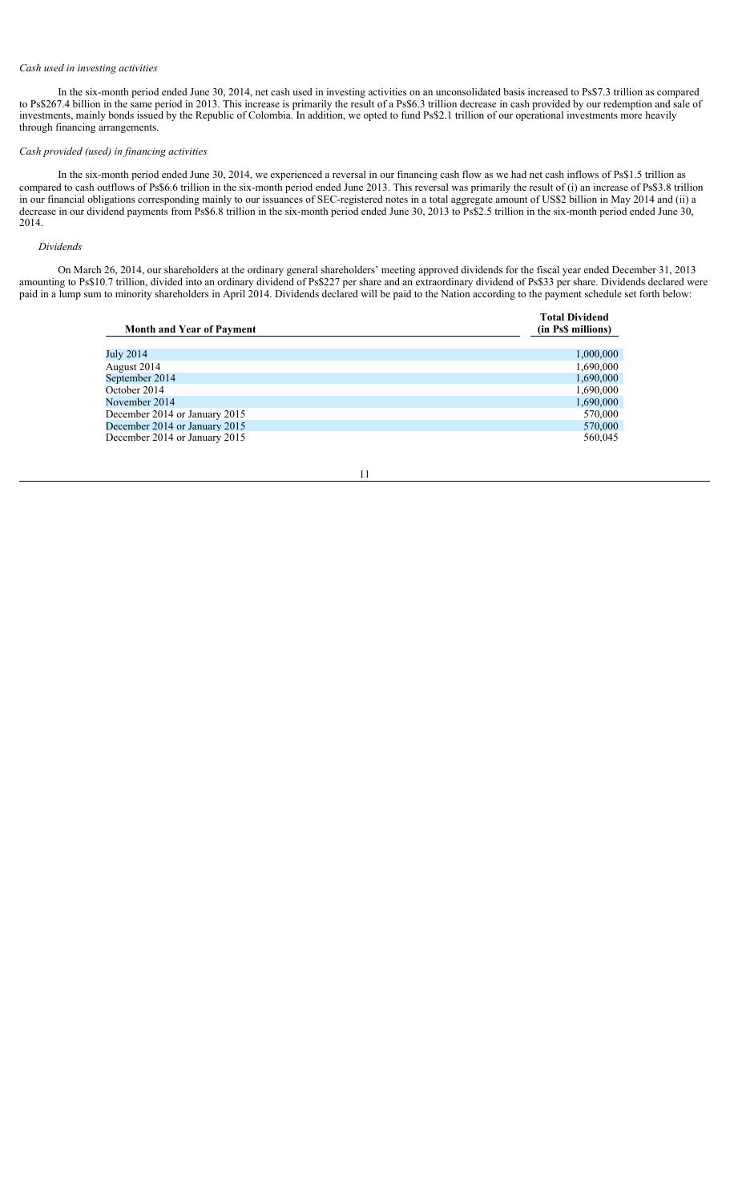# *Cash used in investing activities*

In the six-month period ended June 30, 2014, net cash used in investing activities on an unconsolidated basis increased to Ps\$7.3 trillion as compared to Ps\$267.4 billion in the same period in 2013. This increase is primarily the result of a Ps\$6.3 trillion decrease in cash provided by our redemption and sale of investments, mainly bonds issued by the Republic of Colombia. In addition, we opted to fund Ps\$2.1 trillion of our operational investments more heavily through financing arrangements.

## *Cash provided (used) in financing activities*

In the six-month period ended June 30, 2014, we experienced a reversal in our financing cash flow as we had net cash inflows of Ps\$1.5 trillion as compared to cash outflows of Ps\$6.6 trillion in the six-month period ended June 2013. This reversal was primarily the result of (i) an increase of Ps\$3.8 trillion in our financial obligations corresponding mainly to our issuances of SEC-registered notes in a total aggregate amount of US\$2 billion in May 2014 and (ii) a decrease in our dividend payments from Ps\$6.8 trillion in the six-month period ended June 30, 2013 to Ps\$2.5 trillion in the six-month period ended June 30, 2014.

#### *Dividends*

On March 26, 2014, our shareholders at the ordinary general shareholders' meeting approved dividends for the fiscal year ended December 31, 2013 amounting to Ps\$10.7 trillion, divided into an ordinary dividend of Ps\$227 per share and an extraordinary dividend of Ps\$33 per share. Dividends declared were paid in a lump sum to minority shareholders in April 2014. Dividends declared will be paid to the Nation according to the payment schedule set forth below:

|                                  | <b>Total Dividend</b> |
|----------------------------------|-----------------------|
| <b>Month and Year of Payment</b> | (in Ps\$ millions)    |
|                                  |                       |
| July 2014                        | 1,000,000             |
| August 2014                      | 1,690,000             |
| September 2014                   | 1,690,000             |
| October 2014                     | 1,690,000             |
| November 2014                    | 1,690,000             |
| December 2014 or January 2015    | 570,000               |
| December 2014 or January 2015    | 570,000               |
| December 2014 or January 2015    | 560,045               |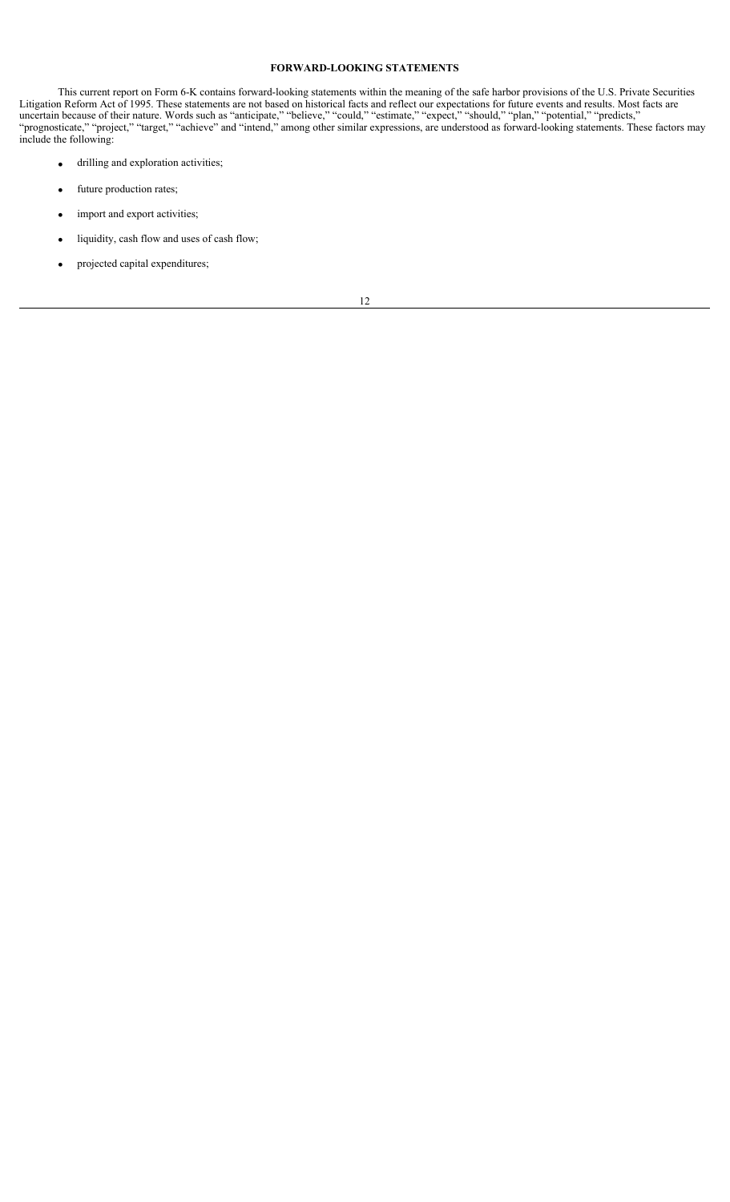## **FORWARD-LOOKING STATEMENTS**

This current report on Form 6-K contains forward-looking statements within the meaning of the safe harbor provisions of the U.S. Private Securities Litigation Reform Act of 1995. These statements are not based on historical facts and reflect our expectations for future events and results. Most facts are uncertain because of their nature. Words such as "anticipate," "believe," "could," "estimate," "expect," "should," "plan," "potential," "predicts," "prognosticate," "project," "target," "achieve" and "intend," among other similar expressions, are understood as forward-looking statements. These factors may include the following:

- $\bullet$  drilling and exploration activities;
- future production rates;
- import and export activities;
- liquidity, cash flow and uses of cash flow;
- projected capital expenditures;